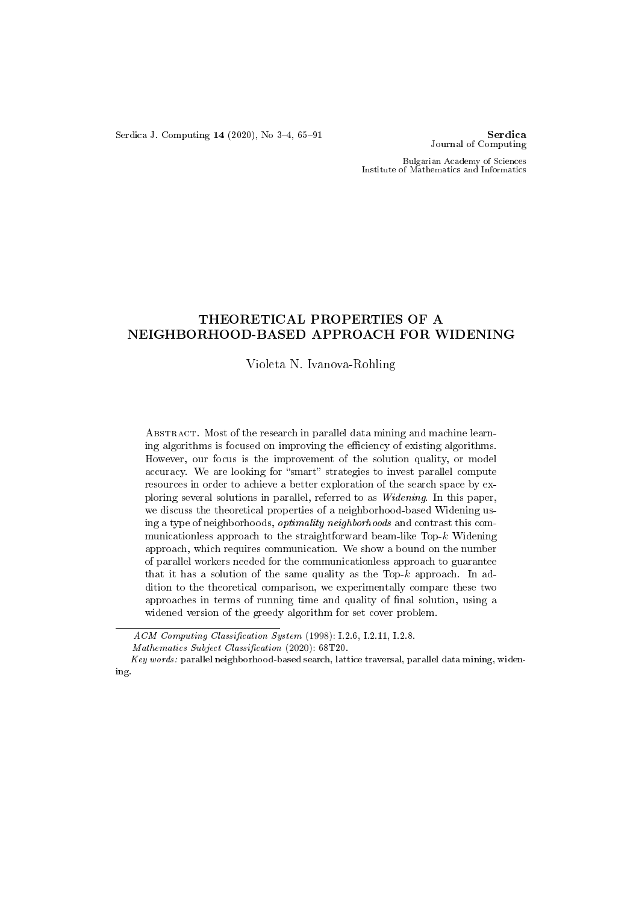Serdica J. Computing  $14$  (2020), No 3-4, 65-91 Serdica

Journal of Computing

Bulgarian Academy of Sciences Institute of Mathematics and Informatics

# THEORETICAL PROPERTIES OF A NEIGHBORHOOD-BASED APPROACH FOR WIDENING

## Violeta N. Ivanova-Rohling

ABSTRACT. Most of the research in parallel data mining and machine learning algorithms is focused on improving the efficiency of existing algorithms. However, our focus is the improvement of the solution quality, or model accuracy. We are looking for "smart" strategies to invest parallel compute resources in order to achieve a better exploration of the search space by exploring several solutions in parallel, referred to as Widening. In this paper, we discuss the theoretical properties of a neighborhood-based Widening using a type of neighborhoods, optimality neighborhoods and contrast this communicationless approach to the straightforward beam-like Top-k Widening approach, which requires communication. We show a bound on the number of parallel workers needed for the communicationless approach to guarantee that it has a solution of the same quality as the Top- $k$  approach. In addition to the theoretical comparison, we experimentally compare these two approaches in terms of running time and quality of final solution, using a widened version of the greedy algorithm for set cover problem.

 $ACM$  Computing Classification System (1998): I.2.6, I.2.11, I.2.8. Mathematics Subject Classification (2020):  $68T20$ .

Key words: parallel neighborhood-based search, lattice traversal, parallel data mining, widening.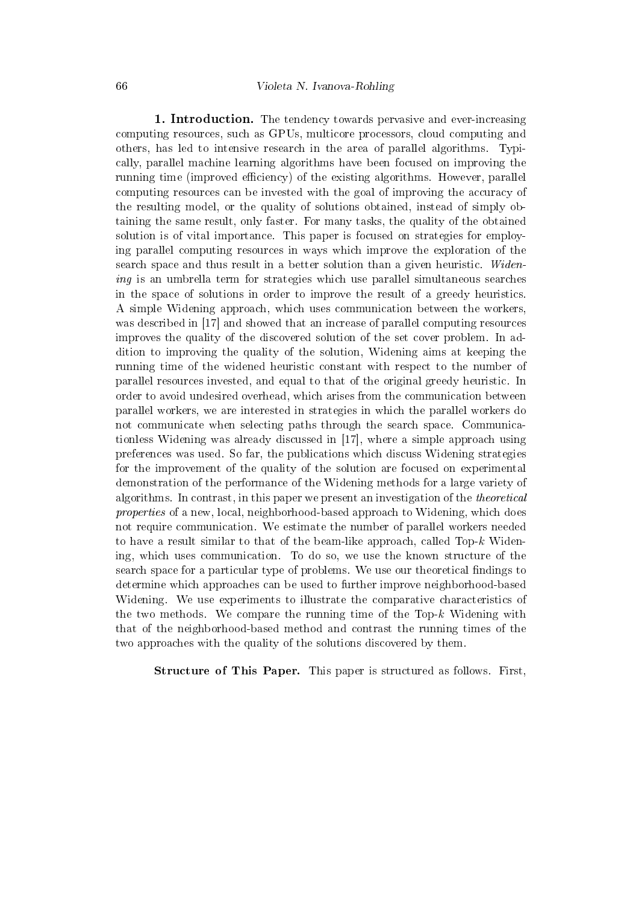1. Introduction. The tendency towards pervasive and ever-increasing computing resources, such as GPUs, multicore processors, cloud computing and others, has led to intensive research in the area of parallel algorithms. Typically, parallel machine learning algorithms have been focused on improving the running time (improved efficiency) of the existing algorithms. However, parallel computing resources can be invested with the goal of improving the accuracy of the resulting model, or the quality of solutions obtained, instead of simply obtaining the same result, only faster. For many tasks, the quality of the obtained solution is of vital importance. This paper is focused on strategies for employing parallel computing resources in ways which improve the exploration of the search space and thus result in a better solution than a given heuristic. Widening is an umbrella term for strategies which use parallel simultaneous searches in the space of solutions in order to improve the result of a greedy heuristics. A simple Widening approach, which uses communication between the workers, was described in [17] and showed that an increase of parallel computing resources improves the quality of the discovered solution of the set cover problem. In addition to improving the quality of the solution, Widening aims at keeping the running time of the widened heuristic constant with respect to the number of parallel resources invested, and equal to that of the original greedy heuristic. In order to avoid undesired overhead, which arises from the communication between parallel workers, we are interested in strategies in which the parallel workers do not communicate when selecting paths through the search space. Communicationless Widening was already discussed in [17], where a simple approach using preferences was used. So far, the publications which discuss Widening strategies for the improvement of the quality of the solution are focused on experimental demonstration of the performance of the Widening methods for a large variety of algorithms. In contrast, in this paper we present an investigation of the theoretical properties of a new, local, neighborhood-based approach to Widening, which does not require communication. We estimate the number of parallel workers needed to have a result similar to that of the beam-like approach, called Top-k Widening, which uses communication. To do so, we use the known structure of the search space for a particular type of problems. We use our theoretical findings to determine which approaches can be used to further improve neighborhood-based Widening. We use experiments to illustrate the comparative characteristics of the two methods. We compare the running time of the  $Top-k$  Widening with that of the neighborhood-based method and contrast the running times of the two approaches with the quality of the solutions discovered by them.

Structure of This Paper. This paper is structured as follows. First,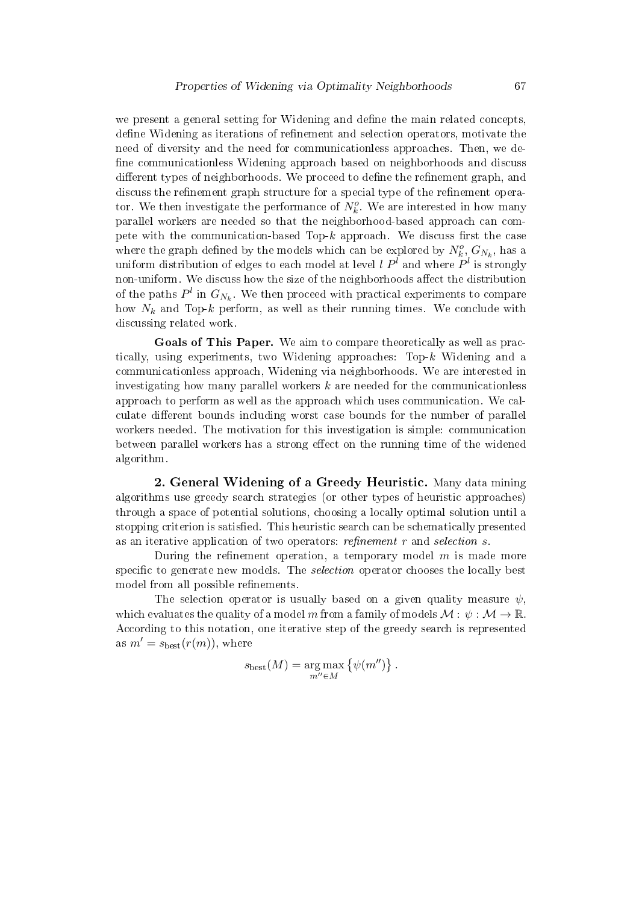we present a general setting for Widening and define the main related concepts, define Widening as iterations of refinement and selection operators, motivate the need of diversity and the need for communicationless approaches. Then, we de fine communicationless Widening approach based on neighborhoods and discuss different types of neighborhoods. We proceed to define the refinement graph, and discuss the refinement graph structure for a special type of the refinement operator. We then investigate the performance of  $N_k^o$ . We are interested in how many parallel workers are needed so that the neighborhood-based approach can compete with the communication-based Top- $k$  approach. We discuss first the case where the graph defined by the models which can be explored by  $N_k^o$ ,  $G_{N_k}$ , has a uniform distribution of edges to each model at level  $l$   $P^l$  and where  $P^l$  is strongly non-uniform. We discuss how the size of the neighborhoods affect the distribution of the paths  $P^l$  in  $G_{N_k}$ . We then proceed with practical experiments to compare how  $N_k$  and Top-k perform, as well as their running times. We conclude with discussing related work.

Goals of This Paper. We aim to compare theoretically as well as practically, using experiments, two Widening approaches:  $Top-k$  Widening and a communicationless approach, Widening via neighborhoods. We are interested in investigating how many parallel workers  $k$  are needed for the communicationless approach to perform as well as the approach which uses communication. We calculate different bounds including worst case bounds for the number of parallel workers needed. The motivation for this investigation is simple: communication between parallel workers has a strong effect on the running time of the widened algorithm.

2. General Widening of a Greedy Heuristic. Many data mining algorithms use greedy search strategies (or other types of heuristic approaches) through a space of potential solutions, choosing a locally optimal solution until a stopping criterion is satisfied. This heuristic search can be schematically presented as an iterative application of two operators: refinement  $r$  and selection  $s$ .

During the refinement operation, a temporary model  $m$  is made more specific to generate new models. The *selection* operator chooses the locally best model from all possible refinements.

The selection operator is usually based on a given quality measure  $\psi$ , which evaluates the quality of a model m from a family of models  $\mathcal{M}: \psi: \mathcal{M} \to \mathbb{R}$ . According to this notation, one iterative step of the greedy search is represented as  $m' = s_{best}(r(m))$ , where

$$
s_{\text{best}}(M) = \underset{m'' \in M}{\arg \max} \left\{ \psi(m'') \right\}.
$$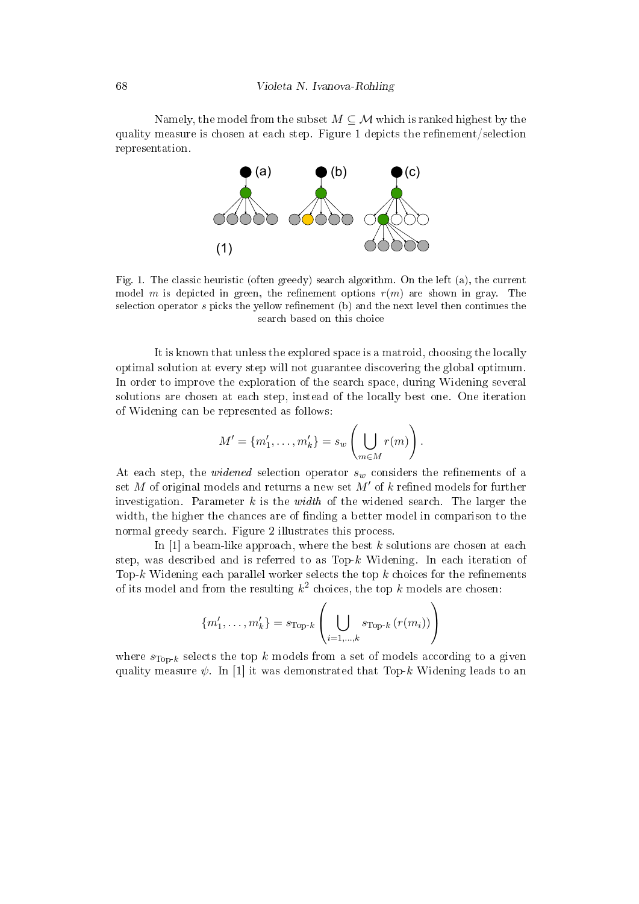68 Violeta N. Ivanova-Rohling

Namely, the model from the subset  $M \subseteq \mathcal{M}$  which is ranked highest by the quality measure is chosen at each step. Figure 1 depicts the refinement/selection representation.



Fig. 1. The classic heuristic (often greedy) search algorithm. On the left (a), the current model m is depicted in green, the refinement options  $r(m)$  are shown in gray. The selection operator  $s$  picks the yellow refinement (b) and the next level then continues the search based on this choice

It is known that unless the explored space is a matroid, choosing the locally optimal solution at every step will not guarantee discovering the global optimum. In order to improve the exploration of the search space, during Widening several solutions are chosen at each step, instead of the locally best one. One iteration of Widening can be represented as follows:

$$
M' = \{m'_1, \ldots, m'_k\} = s_w \left( \bigcup_{m \in M} r(m) \right).
$$

At each step, the *widened* selection operator  $s_w$  considers the refinements of a set  $M$  of original models and returns a new set  $M'$  of  $k$  refined models for further investigation. Parameter  $k$  is the *width* of the widened search. The larger the width, the higher the chances are of finding a better model in comparison to the normal greedy search. Figure 2 illustrates this process.

In  $[1]$  a beam-like approach, where the best k solutions are chosen at each step, was described and is referred to as  $Top-k$  Widening. In each iteration of Top-k Widening each parallel worker selects the top  $k$  choices for the refinements of its model and from the resulting  $k^2$  choices, the top k models are chosen:

$$
\{m'_{1}, \ldots, m'_{k}\} = s_{\text{Top-}k} \left( \bigcup_{i=1,\ldots,k} s_{\text{Top-}k} \left( r(m_{i}) \right) \right)
$$

where  $s_{Top-k}$  selects the top k models from a set of models according to a given quality measure  $\psi$ . In [1] it was demonstrated that Top-k Widening leads to an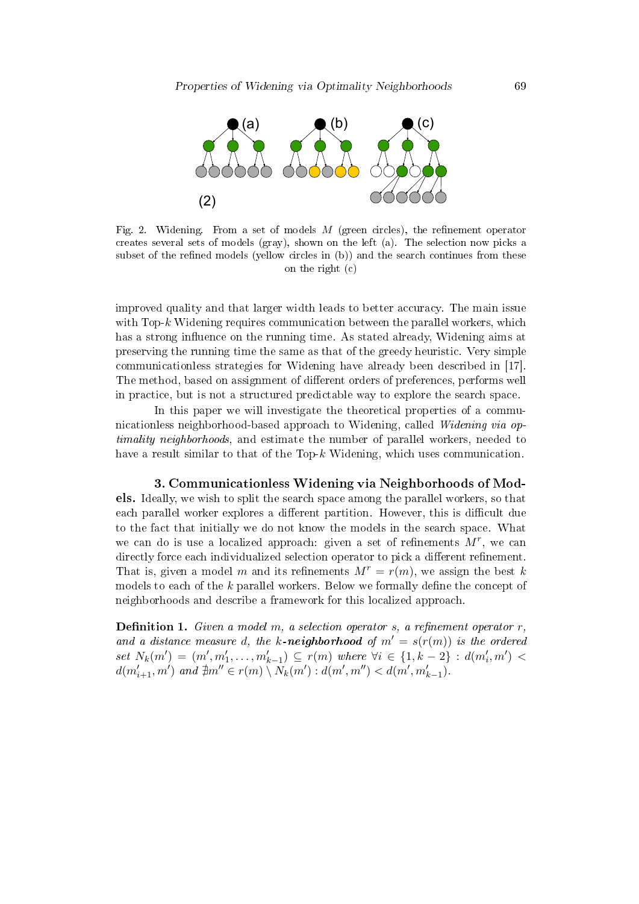

Fig. 2. Widening. From a set of models  $M$  (green circles), the refinement operator creates several sets of models (gray), shown on the left (a). The selection now picks a subset of the refined models (yellow circles in  $(b)$ ) and the search continues from these on the right (c)

improved quality and that larger width leads to better accuracy. The main issue with Top-k Widening requires communication between the parallel workers, which has a strong influence on the running time. As stated already, Widening aims at preserving the running time the same as that of the greedy heuristic. Very simple communicationless strategies for Widening have already been described in [17]. The method, based on assignment of different orders of preferences, performs well in practice, but is not a structured predictable way to explore the search space.

In this paper we will investigate the theoretical properties of a communicationless neighborhood-based approach to Widening, called Widening via optimality neighborhoods, and estimate the number of parallel workers, needed to have a result similar to that of the Top- $k$  Widening, which uses communication.

3. Communicationless Widening via Neighborhoods of Models. Ideally, we wish to split the search space among the parallel workers, so that each parallel worker explores a different partition. However, this is difficult due to the fact that initially we do not know the models in the search space. What we can do is use a localized approach: given a set of refinements  $M^r$ , we can directly force each individualized selection operator to pick a different refinement. That is, given a model m and its refinements  $M^r = r(m)$ , we assign the best k models to each of the  $k$  parallel workers. Below we formally define the concept of neighborhoods and describe a framework for this localized approach.

**Definition 1.** Given a model m, a selection operator s, a refinement operator  $r$ , and a distance measure d, the k-neighborhood of  $m' = s(r(m))$  is the ordered set  $N_k(m') = (m', m'_1, \ldots, m'_{k-1}) \subseteq r(m)$  where  $\forall i \in \{1, k-2\} : d(m'_i, m')$  $d(m'_{i+1}, m')$  and  $\exists m'' \in r(m) \setminus N_k(m') : d(m', m'') < d(m', m'_{k-1}).$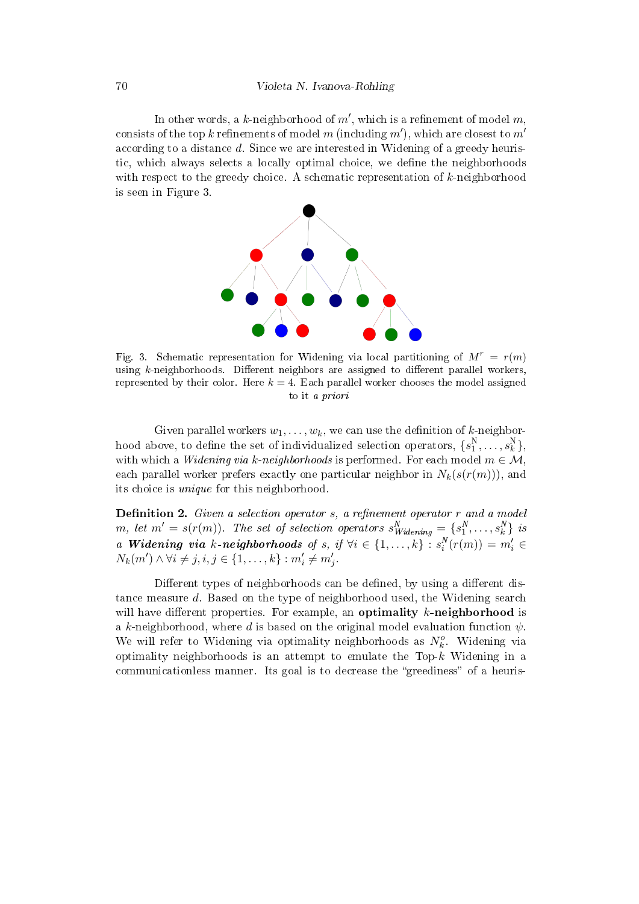In other words, a  $k$ -neighborhood of  $m',$  which is a refinement of model  $m,$ consists of the top  $k$  refinements of model  $m$  (including  $m^{\prime}),$  which are closest to  $m^{\prime}$ according to a distance d. Since we are interested in Widening of a greedy heuristic, which always selects a locally optimal choice, we dene the neighborhoods with respect to the greedy choice. A schematic representation of k-neighborhood is seen in Figure 3.



Fig. 3. Schematic representation for Widening via local partitioning of  $M^r = r(m)$ using k-neighborhoods. Different neighbors are assigned to different parallel workers, represented by their color. Here  $k = 4$ . Each parallel worker chooses the model assigned to it a priori

Given parallel workers  $w_1, \ldots, w_k$ , we can use the definition of k-neighborhood above, to define the set of individualized selection operators,  $\{s_1^{\text{N}}, \ldots, s_k^{\text{N}}\},$ with which a Widening via k-neighborhoods is performed. For each model  $m \in \mathcal{M}$ , each parallel worker prefers exactly one particular neighbor in  $N_k(s(r(m)))$ , and its choice is unique for this neighborhood.

**Definition 2.** Given a selection operator  $s$ , a refinement operator  $r$  and a model m, let  $m' = s(r(m))$ . The set of selection operators  $s_{Widening}^N = \{s_1^N, \ldots, s_k^N\}$  is a Widening via k-neighborhoods of s, if  $\forall i \in \{1,\ldots,k\} : s_i^N(r(m)) = m'_i \in$  $N_k(m') \wedge \forall i \neq j, i, j \in \{1, ..., k\} : m'_i \neq m'_j.$ 

Different types of neighborhoods can be defined, by using a different distance measure d. Based on the type of neighborhood used, the Widening search will have different properties. For example, an optimality  $k$ -neighborhood is a k-neighborhood, where d is based on the original model evaluation function  $\psi$ . We will refer to Widening via optimality neighborhoods as  $N_k^o$ . Widening via optimality neighborhoods is an attempt to emulate the Top- $k$  Widening in a communicationless manner. Its goal is to decrease the "greediness" of a heuris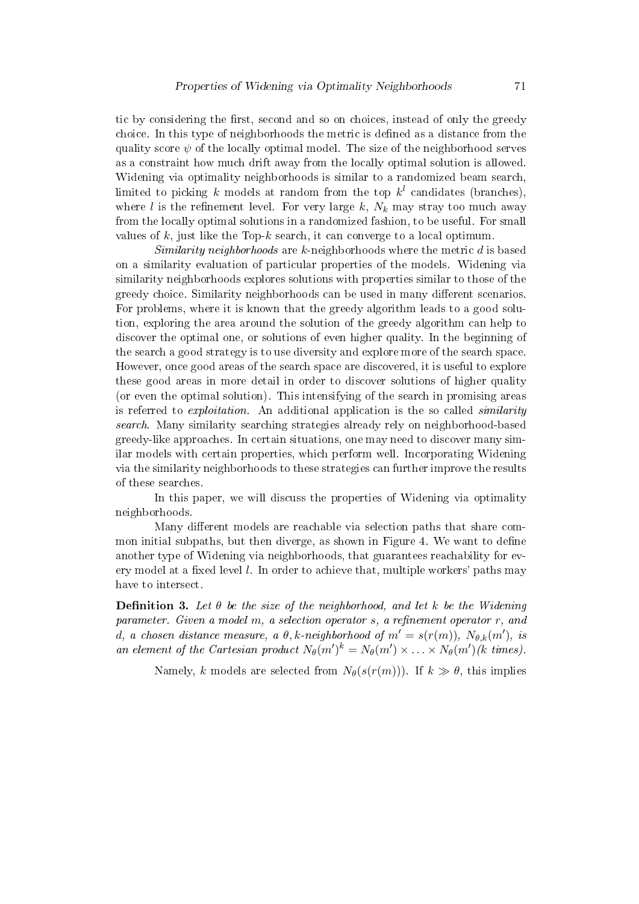tic by considering the first, second and so on choices, instead of only the greedy choice. In this type of neighborhoods the metric is defined as a distance from the quality score  $\psi$  of the locally optimal model. The size of the neighborhood serves as a constraint how much drift away from the locally optimal solution is allowed. Widening via optimality neighborhoods is similar to a randomized beam search, limited to picking k models at random from the top  $k^{l}$  candidates (branches), where l is the refinement level. For very large k,  $N_k$  may stray too much away from the locally optimal solutions in a randomized fashion, to be useful. For small values of  $k$ , just like the Top- $k$  search, it can converge to a local optimum.

Similarity neighborhoods are  $k$ -neighborhoods where the metric  $d$  is based on a similarity evaluation of particular properties of the models. Widening via similarity neighborhoods explores solutions with properties similar to those of the greedy choice. Similarity neighborhoods can be used in many different scenarios. For problems, where it is known that the greedy algorithm leads to a good solution, exploring the area around the solution of the greedy algorithm can help to discover the optimal one, or solutions of even higher quality. In the beginning of the search a good strategy is to use diversity and explore more of the search space. However, once good areas of the search space are discovered, it is useful to explore these good areas in more detail in order to discover solutions of higher quality (or even the optimal solution). This intensifying of the search in promising areas is referred to *exploitation*. An additional application is the so called *similarity* search. Many similarity searching strategies already rely on neighborhood-based greedy-like approaches. In certain situations, one may need to discover many similar models with certain properties, which perform well. Incorporating Widening via the similarity neighborhoods to these strategies can further improve the results of these searches.

In this paper, we will discuss the properties of Widening via optimality neighborhoods.

Many different models are reachable via selection paths that share common initial subpaths, but then diverge, as shown in Figure 4. We want to define another type of Widening via neighborhoods, that guarantees reachability for every model at a fixed level  $l$ . In order to achieve that, multiple workers' paths may have to intersect.

**Definition 3.** Let  $\theta$  be the size of the neighborhood, and let k be the Widening parameter. Given a model  $m$ , a selection operator  $s$ , a refinement operator  $r$ , and d, a chosen distance measure, a  $\theta$ , k-neighborhood of  $m' = s(r(m))$ ,  $N_{\theta,k}(m')$ , is an element of the Cartesian product  $N_{\theta}(m')^k = N_{\theta}(m') \times \ldots \times N_{\theta}(m')$  (k times).

Namely, k models are selected from  $N_{\theta}(s(r(m)))$ . If  $k \gg \theta$ , this implies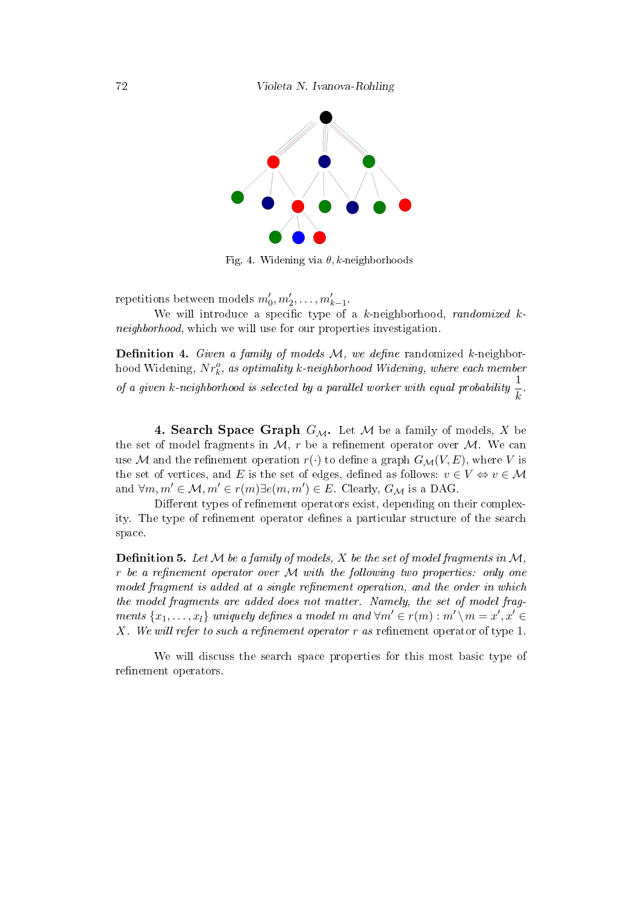

Fig. 4. Widening via  $\theta$ , k-neighborhoods

repetitions between models  $m'_0, m'_2, \ldots, m'_{k-1}$ .

We will introduce a specific type of a  $k$ -neighborhood, *randomized*  $k$ neighborhood, which we will use for our properties investigation.

**Definition 4.** Given a family of models  $M$ , we define randomized k-neighborhood Widening,  $Nr^o_k$ , as optimality k-neighborhood Widening, where each member of a given k-neighborhood is selected by a parallel worker with equal probability  $\frac{1}{k}$ .

**4. Search Space Graph**  $G_{\mathcal{M}}$ . Let M be a family of models, X be the set of model fragments in  $M$ , r be a refinement operator over  $M$ . We can use M and the refinement operation  $r(\cdot)$  to define a graph  $G_{\mathcal{M}}(V, E)$ , where V is the set of vertices, and E is the set of edges, defined as follows:  $v \in V \Leftrightarrow v \in \mathcal{M}$ and  $\forall m,m' \in \mathcal{M}, m' \in r(m) \exists e(m,m') \in E$ . Clearly,  $G_{\mathcal{M}}$  is a DAG.

Different types of refinement operators exist, depending on their complexity. The type of refinement operator defines a particular structure of the search space.

**Definition 5.** Let  $M$  be a family of models, X be the set of model fragments in  $M$ , r be a refinement operator over  $M$  with the following two properties: only one model fragment is added at a single refinement operation, and the order in which the model fragments are added does not matter. Namely, the set of model fragments  $\{x_1, \ldots, x_l\}$  uniquely defines a model m and  $\forall m' \in r(m) : m' \setminus m = x', x' \in$ X. We will refer to such a refinement operator r as refinement operator of type 1.

We will discuss the search space properties for this most basic type of refinement operators.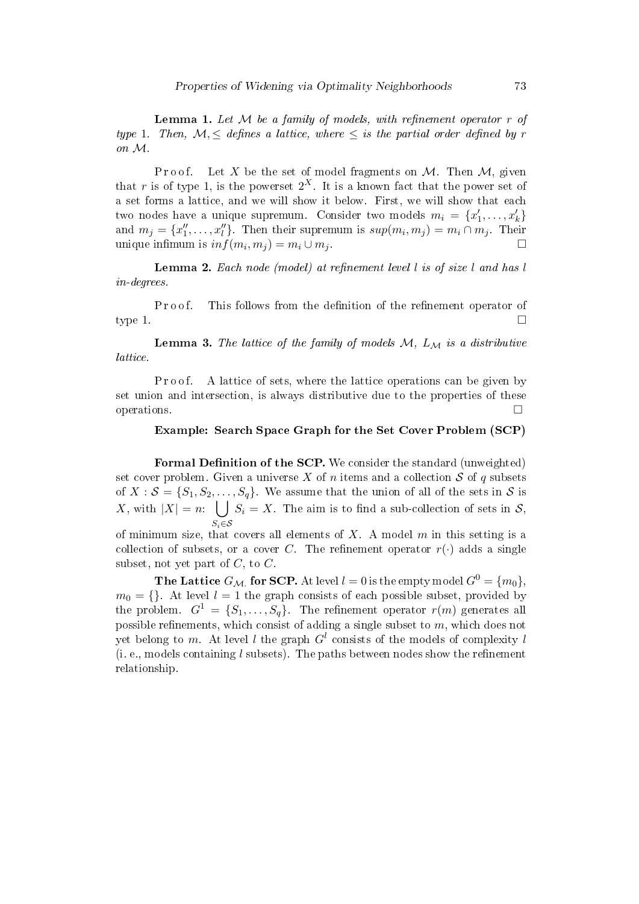**Lemma 1.** Let  $M$  be a family of models, with refinement operator  $r$  of type 1. Then,  $\mathcal{M}, \leq$  defines a lattice, where  $\leq$  is the partial order defined by r on M.

P r o o f. Let X be the set of model fragments on M. Then M, given that r is of type 1, is the powerset  $2^X$ . It is a known fact that the power set of a set forms a lattice, and we will show it below. First, we will show that each two nodes have a unique supremum. Consider two models  $m_i = \{x'_1, \ldots, x'_k\}$ and  $m_j = \{x''_1, \ldots, x''_l\}$ . Then their supremum is  $sup(m_i, m_j) = m_i \cap m_j$ . Their unique infimum is  $inf(m_i, m_j) = m_i \cup m_j$ .

**Lemma 2.** Each node (model) at refinement level  $l$  is of size  $l$  and has  $l$ in-degrees.

Proof. This follows from the definition of the refinement operator of type 1.  $\Box$ 

**Lemma 3.** The lattice of the family of models  $M$ ,  $L_M$  is a distributive lattice.

P r o o f. A lattice of sets, where the lattice operations can be given by set union and intersection, is always distributive due to the properties of these operations.  $\Box$ 

### Example: Search Space Graph for the Set Cover Problem (SCP)

Formal Definition of the SCP. We consider the standard (unweighted) set cover problem. Given a universe X of n items and a collection  $S$  of q subsets of  $X : \mathcal{S} = \{S_1, S_2, \ldots, S_q\}$ . We assume that the union of all of the sets in  $\mathcal{S}$  is X, with  $|X| = n$ :  $\bigcup S_i = X$ . The aim is to find a sub-collection of sets in S,  $S_i$ ∈S

of minimum size, that covers all elements of  $X$ . A model  $m$  in this setting is a collection of subsets, or a cover C. The refinement operator  $r(\cdot)$  adds a single subset, not yet part of  $C$ , to  $C$ .

**The Lattice**  $G_{\mathcal{M}_1}$  for SCP. At level  $l=0$  is the empty model  $G^0=\{m_0\},$  $m_0 = \{\}$ . At level  $l = 1$  the graph consists of each possible subset, provided by the problem.  $G^1 = \{S_1, \ldots, S_q\}$ . The refinement operator  $r(m)$  generates all possible refinements, which consist of adding a single subset to  $m$ , which does not yet belong to m. At level  $l$  the graph  $G^l$  consists of the models of complexity  $l$ (i. e., models containing l subsets). The paths between nodes show the refinement relationship.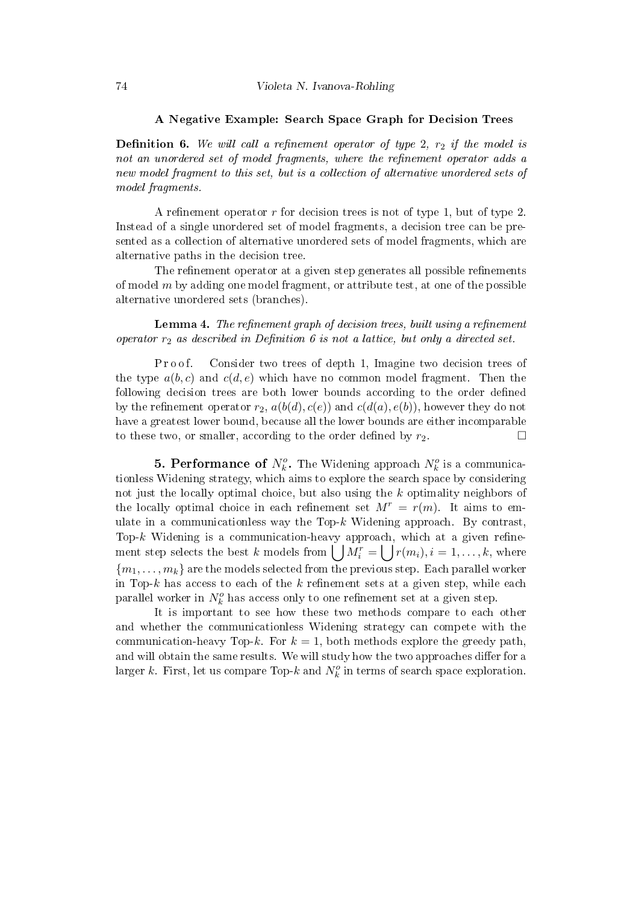#### A Negative Example: Search Space Graph for Decision Trees

**Definition 6.** We will call a refinement operator of type 2,  $r_2$  if the model is not an unordered set of model fragments, where the refinement operator adds a new model fragment to this set, but is a collection of alternative unordered sets of model fragments.

A refinement operator  $r$  for decision trees is not of type 1, but of type 2. Instead of a single unordered set of model fragments, a decision tree can be presented as a collection of alternative unordered sets of model fragments, which are alternative paths in the decision tree.

The refinement operator at a given step generates all possible refinements of model  $m$  by adding one model fragment, or attribute test, at one of the possible alternative unordered sets (branches).

**Lemma 4.** The refinement graph of decision trees, built using a refinement operator  $r_2$  as described in Definition 6 is not a lattice, but only a directed set.

P r o o f. Consider two trees of depth 1, Imagine two decision trees of the type  $a(b, c)$  and  $c(d, e)$  which have no common model fragment. Then the following decision trees are both lower bounds according to the order defined by the refinement operator  $r_2$ ,  $a(b(d), c(e))$  and  $c(d(a), e(b))$ , however they do not have a greatest lower bound, because all the lower bounds are either incomparable to these two, or smaller, according to the order defined by  $r_2$ .

**5. Performance of**  $N_k^o$ . The Widening approach  $N_k^o$  is a communicationless Widening strategy, which aims to explore the search space by considering not just the locally optimal choice, but also using the k optimality neighbors of the locally optimal choice in each refinement set  $M^r = r(m)$ . It aims to emulate in a communicationless way the Top- $k$  Widening approach. By contrast, Top- $k$  Widening is a communication-heavy approach, which at a given refinement step selects the best k models from  $\bigcup M_i^r = \bigcup r(m_i), i = 1, \ldots, k,$  where  ${m_1, \ldots, m_k}$  are the models selected from the previous step. Each parallel worker in Top-k has access to each of the k refinement sets at a given step, while each parallel worker in  $N_k^o$  has access only to one refinement set at a given step.

It is important to see how these two methods compare to each other and whether the communicationless Widening strategy can compete with the communication-heavy Top-k. For  $k = 1$ , both methods explore the greedy path, and will obtain the same results. We will study how the two approaches differ for a larger k. First, let us compare Top-k and  $N_k^o$  in terms of search space exploration.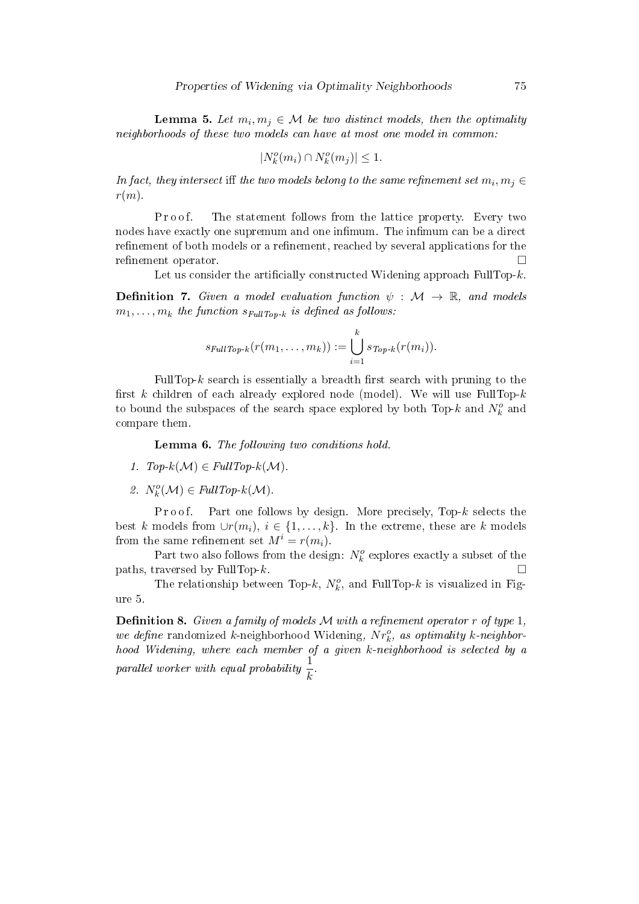**Lemma 5.** Let  $m_i, m_j \in \mathcal{M}$  be two distinct models, then the optimality neighborhoods of these two models can have at most one model in common:

$$
|N_k^o(m_i) \cap N_k^o(m_j)| \le 1.
$$

In fact, they intersect iff the two models belong to the same refinement set  $m_i, m_j \in$  $r(m)$ .

P roof. The statement follows from the lattice property. Every two nodes have exactly one supremum and one infimum. The infimum can be a direct refinement of both models or a refinement, reached by several applications for the refinement operator.

Let us consider the artificially constructed Widening approach FullTop- $k$ .

**Definition 7.** Given a model evaluation function  $\psi : \mathcal{M} \to \mathbb{R}$ , and models  $m_1, \ldots, m_k$  the function  $s_{FullTop-k}$  is defined as follows:

$$
s_{\text{FullTop-k}}(r(m_1,\ldots,m_k)) := \bigcup_{i=1}^k s_{\text{Top-k}}(r(m_i)).
$$

FullTop- $k$  search is essentially a breadth first search with pruning to the first k children of each already explored node (model). We will use FullTop- $k$ to bound the subspaces of the search space explored by both Top- $k$  and  $N_k^o$  and compare them.

Lemma 6. The following two conditions hold.

- 1.  $Top-k(\mathcal{M}) \in FullTop-k(\mathcal{M})$ .
- 2.  $N_k^o(\mathcal{M}) \in FullTop-k(\mathcal{M})$ .

P r o o f. Part one follows by design. More precisely, Top- $k$  selects the best k models from  $\cup r(m_i), i \in \{1, \ldots, k\}$ . In the extreme, these are k models from the same refinement set  $M^i = r(m_i)$ .

Part two also follows from the design:  $N_k^o$  explores exactly a subset of the paths, traversed by FullTop- $k$ .

The relationship between Top- $k$ ,  $N_k^o$ , and FullTop- $k$  is visualized in Figure 5.

**Definition 8.** Given a family of models  $M$  with a refinement operator  $r$  of type 1, we define randomized k-neighborhood Widening,  $Nr_k^o$ , as optimality k-neighborhood Widening, where each member of a given k-neighborhood is selected by a parallel worker with equal probability  $\frac{1}{k}$ .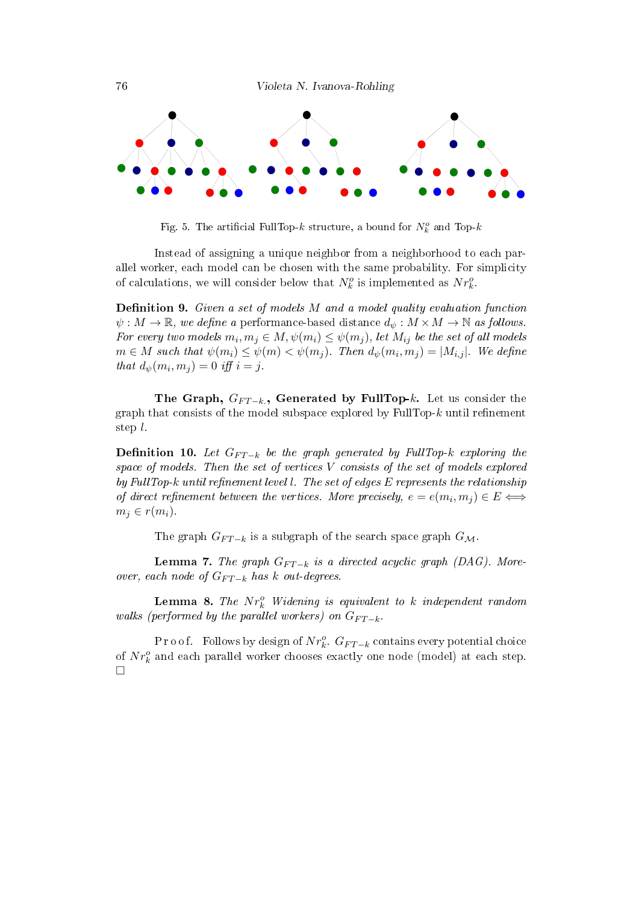

Fig. 5. The artificial FullTop- $k$  structure, a bound for  $N_k^o$  and Top- $k$ 

Instead of assigning a unique neighbor from a neighborhood to each parallel worker, each model can be chosen with the same probability. For simplicity of calculations, we will consider below that  $N_k^o$  is implemented as  $Nr_k^o$ .

**Definition 9.** Given a set of models  $M$  and a model quality evaluation function  $\psi: M \to \mathbb{R}$ , we define a performance-based distance  $d_{\psi}: M \times M \to \mathbb{N}$  as follows. For every two models  $m_i, m_j \in M$ ,  $\psi(m_i) \leq \psi(m_j)$ , let  $M_{ij}$  be the set of all models  $m \in M$  such that  $\psi(m_i) \leq \psi(m) < \psi(m_j)$ . Then  $d_{\psi}(m_i, m_j) = |M_{i,j}|$ . We define that  $d_{\psi}(m_i, m_j) = 0$  iff  $i = j$ .

The Graph,  $G_{FT-k}$ , Generated by FullTop-k. Let us consider the graph that consists of the model subspace explored by FullTop- $k$  until refinement step l.

**Definition 10.** Let  $G_{FT-k}$  be the graph generated by FullTop-k exploring the space of models. Then the set of vertices V consists of the set of models explored by FullTop-k until refinement level l. The set of edges  $E$  represents the relationship of direct refinement between the vertices. More precisely,  $e = e(m_i, m_j) \in E \Longleftrightarrow$  $m_i \in r(m_i)$ .

The graph  $G_{FT-k}$  is a subgraph of the search space graph  $G_{\mathcal{M}}$ .

**Lemma 7.** The graph  $G_{FT-k}$  is a directed acyclic graph (DAG). Moreover, each node of  $G_{FT-k}$  has k out-degrees.

**Lemma 8.** The  $Nr_k^o$  Widening is equivalent to k independent random walks (performed by the parallel workers) on  $G_{FT-k}$ .

P r o o f. Follows by design of  $Nr_k^o$ .  $G_{FT-k}$  contains every potential choice of  $N r_k^o$  and each parallel worker chooses exactly one node (model) at each step.  $\Box$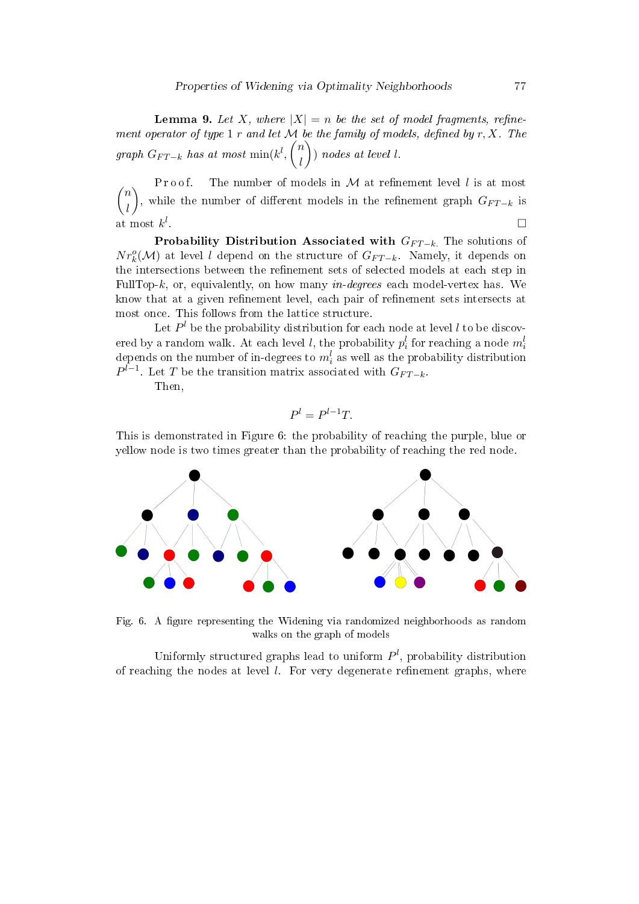**Lemma 9.** Let X, where  $|X| = n$  be the set of model fragments, refinement operator of type 1 r and let  $M$  be the family of models, defined by  $r, X$ . The  $graph\ G_{FT-k}\ has\ at\ most\ \min(k^l, \binom{n}{l}$ l  $\bigg)$  nodes at level l.

 $\sqrt{n}$ Proof. The number of models in  $M$  at refinement level l is at most l ), while the number of different models in the refinement graph  $G_{FT-k}$  is at most  $k^l$ .<br>1980 - Paul Barbara, politikar eta biztanleria (h. 1905).<br>1980 - Johann John Barbara, politikar eta biztanleria (h. 1906).

**Probability Distribution Associated with**  $G_{FT-k}$ **.** The solutions of  $Nr_k^o(\mathcal{M})$  at level l depend on the structure of  $G_{FT-k}$ . Namely, it depends on the intersections between the refinement sets of selected models at each step in FullTop-k, or, equivalently, on how many *in-degrees* each model-vertex has. We know that at a given refinement level, each pair of refinement sets intersects at most once. This follows from the lattice structure.

Let  $P^l$  be the probability distribution for each node at level  $l$  to be discovered by a random walk. At each level  $l$ , the probability  $p_i^l$  for reaching a node  $m_i^l$ depends on the number of in-degrees to  $m_i^l$  as well as the probability distribution  $P^{l-1}$ . Let T be the transition matrix associated with  $G_{FT-k}$ .

Then,

$$
P^l = P^{l-1}T.
$$

This is demonstrated in Figure 6: the probability of reaching the purple, blue or yellow node is two times greater than the probability of reaching the red node.



Fig. 6. A figure representing the Widening via randomized neighborhoods as random walks on the graph of models

Uniformly structured graphs lead to uniform  $P^l$ , probability distribution of reaching the nodes at level  $l$ . For very degenerate refinement graphs, where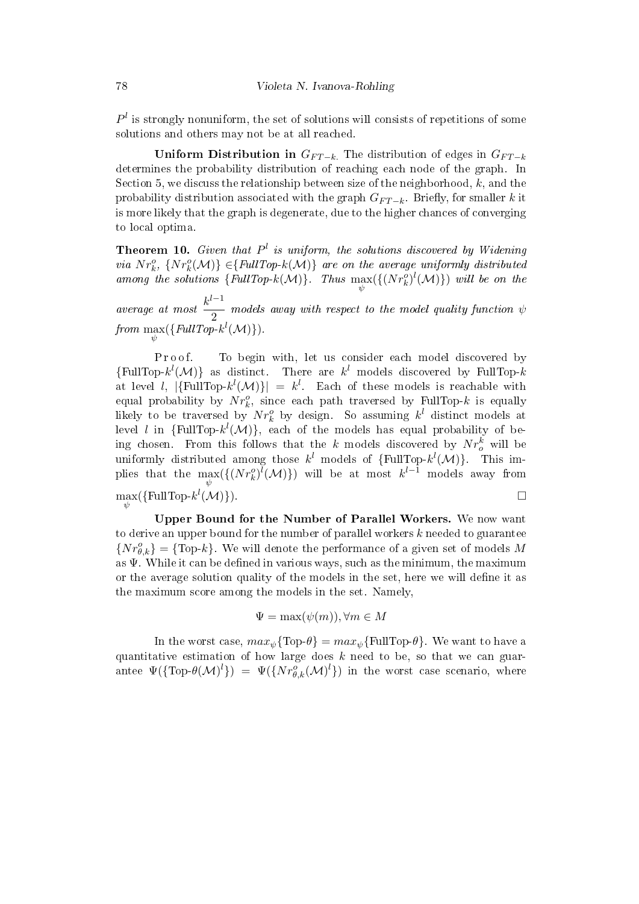$P<sup>l</sup>$  is strongly nonuniform, the set of solutions will consists of repetitions of some solutions and others may not be at all reached.

Uniform Distribution in  $G_{FT-k}$ . The distribution of edges in  $G_{FT-k}$ determines the probability distribution of reaching each node of the graph. In Section 5, we discuss the relationship between size of the neighborhood,  $k$ , and the probability distribution associated with the graph  $G_{FT-k}$ . Briefly, for smaller k it is more likely that the graph is degenerate, due to the higher chances of converging to local optima.

**Theorem 10.** Given that  $P^l$  is uniform, the solutions discovered by Widening via  $Nr_k^o$ ,  $\{Nr_k^o(\mathcal{M})\}\in\}$  are on the average uniformly distributed among the solutions  $\{FullTop-k(\mathcal{M})\}$ . Thus  $\max_{\psi}(\{(Nr_k^o)^l(\mathcal{M})\})$  will be on the

average at most  $\frac{k^{l-1}}{2}$  $\overline{2}$  models away with respect to the model quality function  $\psi$ from  $\max_{\psi}(\{FullTop-k^l(\mathcal{M})\}).$ 

P r o of. To begin with, let us consider each model discovered by {FullTop- $k^{l}(\mathcal{M})$ } as distinct. There are  $k^{l}$  models discovered by FullTop-k at level l,  $|\{\text{FullTop-}k^{l}(\mathcal{M})\}| = k^{l}$ . Each of these models is reachable with equal probability by  $Nr_k^o$ , since each path traversed by FullTop-k is equally likely to be traversed by  $Nr_k^o$  by design. So assuming  $k^l$  distinct models at level *l* in  $\{FullTop-k^{l}(\mathcal{M})\},$  each of the models has equal probability of being chosen. From this follows that the k models discovered by  $Nr_o^k$  will be uniformly distributed among those  $k^{l}$  models of  $\{FullTop\text{-}k^{l}(\mathcal{M})\}$ . This implies that the  $\max_{\psi}(\{(Nr_k^o)^l(\mathcal{M})\})$  will be at most  $k^{l-1}$  models away from  $\max_{\psi}(\{\text{FullTop-}k^{l}(\mathcal{M})\}).$ 

Upper Bound for the Number of Parallel Workers. We now want to derive an upper bound for the number of parallel workers  $k$  needed to guarantee  $\{Nr_{\theta,k}^o\} = \{\text{Top-}k\}.$  We will denote the performance of a given set of models M as  $\Psi$ . While it can be defined in various ways, such as the minimum, the maximum or the average solution quality of the models in the set, here we will define it as the maximum score among the models in the set. Namely,

$$
\Psi = \max(\psi(m)), \forall m \in M
$$

In the worst case,  $max_w \{Top\theta\} = max_w \{FullTop\theta\}$ . We want to have a quantitative estimation of how large does  $k$  need to be, so that we can guarantee  $\Psi(\{\text{Top-}\theta(\mathcal{M})^l\}) = \Psi(\{Nr_{\theta,k}^o(\mathcal{M})^l\})$  in the worst case scenario, where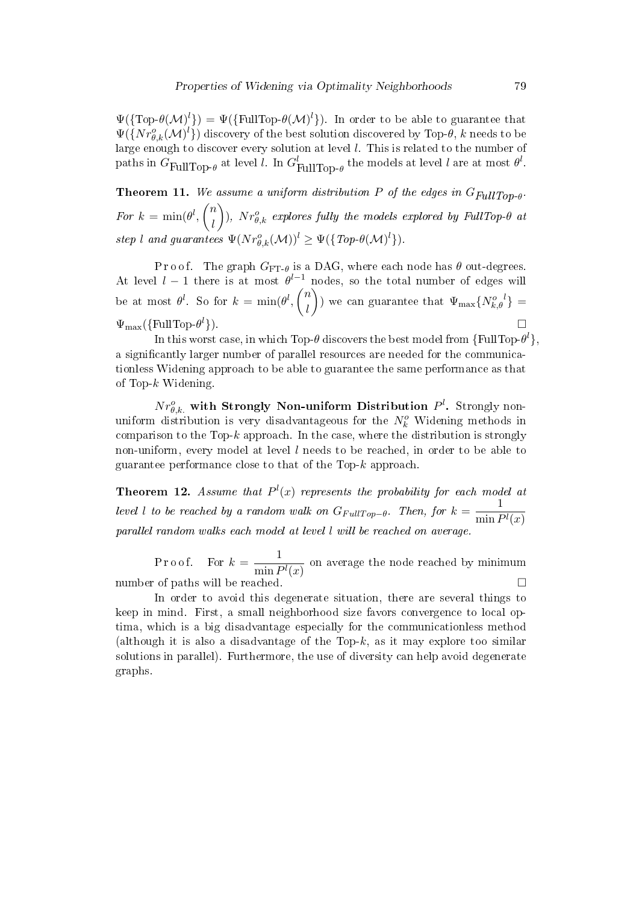$\Psi(\{\text{Top-}\theta(\mathcal{M})^l\}) = \Psi(\{\text{FullTop-}\theta(\mathcal{M})^l\})$ . In order to be able to guarantee that  $\Psi(\{Nr_{\theta,k}^{o}(\mathcal{M})^l\})$  discovery of the best solution discovered by Top- $\theta,$   $k$  needs to be large enough to discover every solution at level l. This is related to the number of paths in  $G_{\text{FullTop-}\theta}$  at level  $l$ . In  $G_{\text{FullTop-}\theta}^l$  the models at level  $l$  are at most  $\theta^l$ .

**Theorem 11.** We assume a uniform distribution P of the edges in  $G_{FullTop-0}$ . For  $k = \min(\theta^l, \binom{n}{l})$ l  $\Big),\;N r_{\theta,k}^o\;$  explores fully the models explored by FullTop- $\theta$  at step l and guarantees  $\Psi(Nr_{\theta,k}^o(\mathcal{M}))^l \geq \Psi(\lbrace Top\text{-}\theta(\mathcal{M})^l \rbrace)$ .

P r o o f. The graph  $G_{\text{FT-}\theta}$  is a DAG, where each node has  $\theta$  out-degrees. At level  $l-1$  there is at most  $\theta^{l-1}$  nodes, so the total number of edges will be at most  $\theta^l$ . So for  $k = \min(\theta^l, \binom{n}{l})$ l ) we can guarantee that  $\Psi_{\text{max}}\{N_{k,\theta}^{o,l}\} =$  $\Psi_{\text{max}}(\{\text{FullTop-}\theta^l\})$  $\}$ ).

In this worst case, in which Top- $\theta$  discovers the best model from {FullTop- $\theta^l$ }, a significantly larger number of parallel resources are needed for the communicationless Widening approach to be able to guarantee the same performance as that of Top-k Widening.

 $N r_{\theta,k.}^o$  with Strongly Non-uniform Distribution  $P^l$ . Strongly nonuniform distribution is very disadvantageous for the  $N_k^o$  Widening methods in comparison to the Top- $k$  approach. In the case, where the distribution is strongly non-uniform, every model at level  $l$  needs to be reached, in order to be able to guarantee performance close to that of the Top-k approach.

**Theorem 12.** Assume that  $P^l(x)$  represents the probability for each model at level l to be reached by a random walk on  $G_{FullTop-θ}$ . Then, for  $k = \frac{1}{min I}$  $\min P^l(x)$ parallel random walks each model at level l will be reached on average.

Proof. For  $k = \frac{1}{\cdot \cdot \cdot}$  $\frac{1}{\min P^l(x)}$  on average the node reached by minimum number of paths will be reached.  $\Box$ 

In order to avoid this degenerate situation, there are several things to keep in mind. First, a small neighborhood size favors convergence to local optima, which is a big disadvantage especially for the communicationless method (although it is also a disadvantage of the Top- $k$ , as it may explore too similar solutions in parallel). Furthermore, the use of diversity can help avoid degenerate graphs.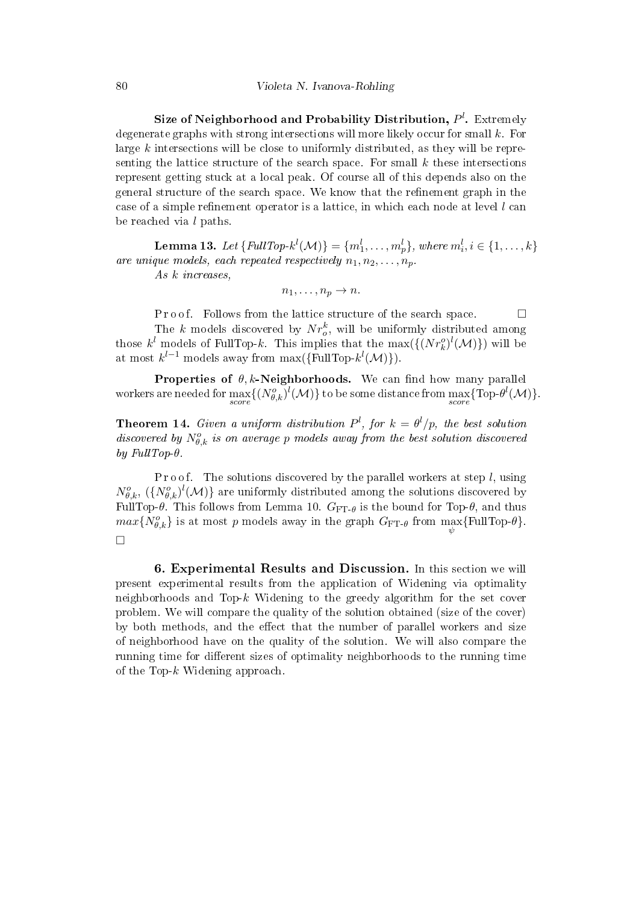Size of Neighborhood and Probability Distribution,  $P^l.$  Extremely degenerate graphs with strong intersections will more likely occur for small  $k$ . For large  $k$  intersections will be close to uniformly distributed, as they will be representing the lattice structure of the search space. For small  $k$  these intersections represent getting stuck at a local peak. Of course all of this depends also on the general structure of the search space. We know that the refinement graph in the case of a simple refinement operator is a lattice, in which each node at level  $l$  can be reached via l paths.

 ${\bf Lemma \ 13.} \ \ Let \ \{FullTop-k^l({\cal M})\} = \{m_1^l, \ldots, m_p^l\}, \ where \ m_i^l, i \in \{1, \ldots, k\}$ are unique models, each repeated respectively  $n_1, n_2, \ldots, n_p$ .

As k increases,

 $n_1, \ldots, n_p \to n$ .

P r o o f. Follows from the lattice structure of the search space.  $\Box$ The k models discovered by  $Nr_o^k$ , will be uniformly distributed among those  $k^{l}$  models of FullTop-k. This implies that the  $\max(\{(Nr_k^o)^l(\mathcal{M})\})$  will be at most  $k^{l-1}$  models away from max({FullTop- $k^{l}(\mathcal{M})$ }).

Properties of  $\theta$ , k-Neighborhoods. We can find how many parallel workers are needed for  $\max_{score} \{(N_{\theta,k}^o)^l(\mathcal{M})\}$  to be some distance from  $\max_{score} \{\text{Top-}\theta^l(\mathcal{M})\}.$ 

**Theorem 14.** Given a uniform distribution  $P^l$ , for  $k = \theta^l/p$ , the best solution discovered by  $N_{\theta,k}^o$  is on average p models away from the best solution discovered by FullTop- $\theta$ .

P r o o f. The solutions discovered by the parallel workers at step  $l$ , using  $N_{\theta,k}^o$ ,  $(\{N_{\theta,k}^o\}^l(\mathcal{M})\}$  are uniformly distributed among the solutions discovered by FullTop- $\theta$ . This follows from Lemma 10.  $G_{\text{FT-}\theta}$  is the bound for Top- $\theta$ , and thus  $max\{N_{\theta,k}^o\}$  is at most p models away in the graph  $G_{\text{FT-}\theta}$  from  $\max_{\psi}$ {FullTop- $\theta$ }.  $\Box$ 

6. Experimental Results and Discussion. In this section we will present experimental results from the application of Widening via optimality neighborhoods and Top-k Widening to the greedy algorithm for the set cover problem. We will compare the quality of the solution obtained (size of the cover) by both methods, and the effect that the number of parallel workers and size of neighborhood have on the quality of the solution. We will also compare the running time for different sizes of optimality neighborhoods to the running time of the Top-k Widening approach.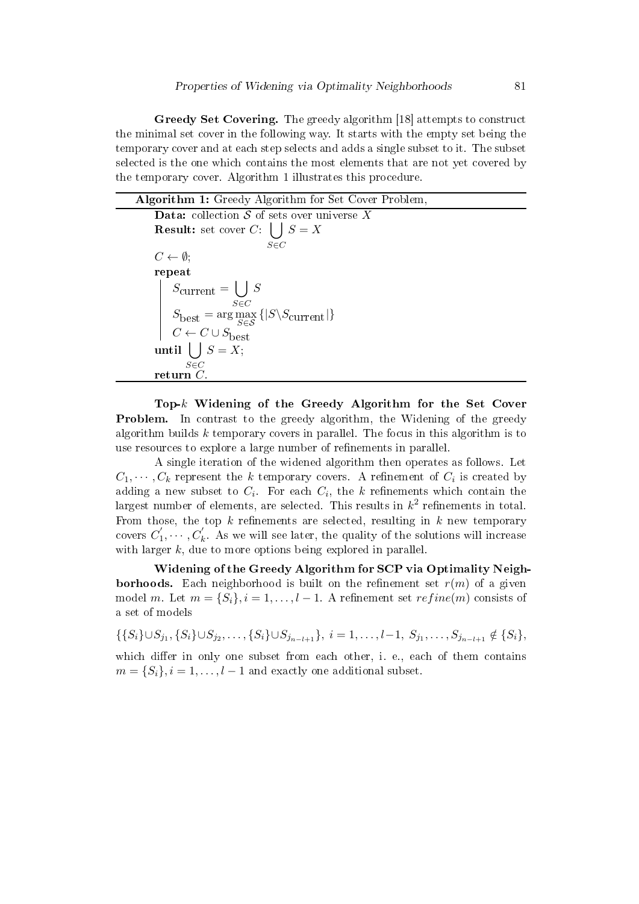Greedy Set Covering. The greedy algorithm [18] attempts to construct the minimal set cover in the following way. It starts with the empty set being the temporary cover and at each step selects and adds a single subset to it. The subset selected is the one which contains the most elements that are not yet covered by the temporary cover. Algorithm 1 illustrates this procedure.

|  |  |  |  | <b>Algorithm 1:</b> Greedy Algorithm for Set Cover Problem, |
|--|--|--|--|-------------------------------------------------------------|
|--|--|--|--|-------------------------------------------------------------|

**Data:** collection  $S$  of sets over universe  $X$ **Result:** set cover  $C: \left| \ \right|$ S∈C  $S = X$  $C \leftarrow \emptyset$ ; repeat  $S_{\rm current} = \bigcup$ S∈C S  $S_{\text{best}} = \arg \max_{S \in \mathcal{S}} \left\{ |S \backslash S_{\text{current}}| \right\}$  $C \leftarrow C \cup S_{\text{best}}$ until  $|$   $|$   $S = X;$  $s\bar{\in}C$  ${\bf return}$   ${\bf \tilde{C}}$ 

Top-k Widening of the Greedy Algorithm for the Set Cover Problem. In contrast to the greedy algorithm, the Widening of the greedy algorithm builds  $k$  temporary covers in parallel. The focus in this algorithm is to use resources to explore a large number of refinements in parallel.

A single iteration of the widened algorithm then operates as follows. Let  $C_1, \cdots, C_k$  represent the k temporary covers. A refinement of  $C_i$  is created by adding a new subset to  $C_i$ . For each  $C_i$ , the k refinements which contain the largest number of elements, are selected. This results in  $k^2$  refinements in total. From those, the top  $k$  refinements are selected, resulting in  $k$  new temporary covers  $C_1^{'}$  $1'_1, \dots, C'_k$ . As we will see later, the quality of the solutions will increase with larger  $k$ , due to more options being explored in parallel.

Widening of the Greedy Algorithm for SCP via Optimality Neigh**borhoods.** Each neighborhood is built on the refinement set  $r(m)$  of a given model m. Let  $m = \{S_i\}, i = 1, \ldots, l-1$ . A refinement set  $refine(m)$  consists of a set of models

$$
\{\{S_i\} \cup S_{j_1}, \{S_i\} \cup S_{j_2}, \ldots, \{S_i\} \cup S_{j_{n-l+1}}\}, i = 1, \ldots, l-1, S_{j_1}, \ldots, S_{j_{n-l+1}} \notin \{S_i\},\}
$$

which differ in only one subset from each other, i. e., each of them contains  $m = \{S_i\}, i = 1, \ldots, l-1$  and exactly one additional subset.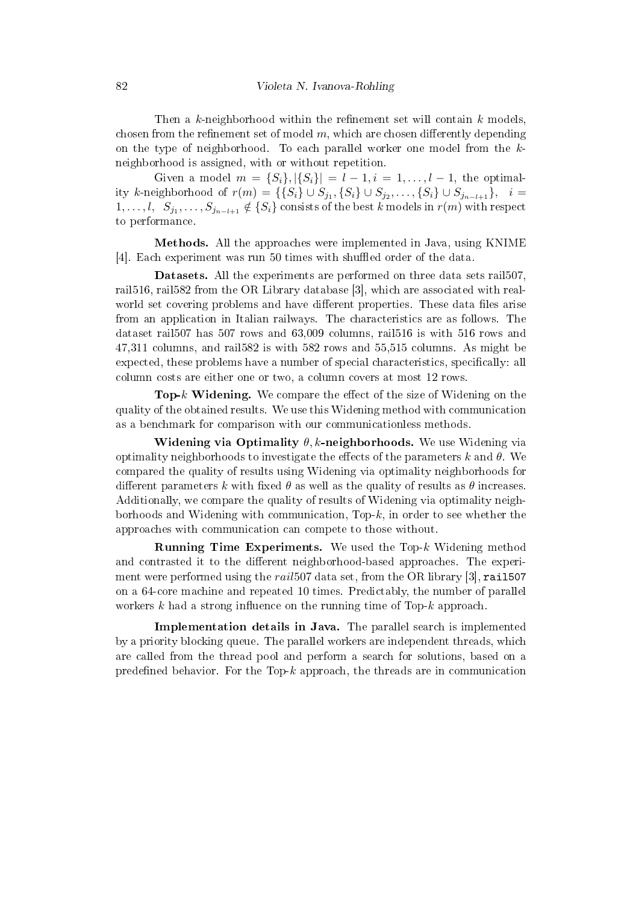Then a k-neighborhood within the refinement set will contain  $k$  models, chosen from the refinement set of model  $m$ , which are chosen differently depending on the type of neighborhood. To each parallel worker one model from the kneighborhood is assigned, with or without repetition.

Given a model  $m = \{S_i\}, |\{S_i\}| = l - 1, i = 1, \ldots, l - 1$ , the optimality k-neighborhood of  $r(m) = \{\{S_i\} \cup S_{j_1}, \{S_i\} \cup S_{j_2}, \ldots, \{S_i\} \cup S_{j_{n-l+1}}\}, \ i =$  $1,\ldots,l, \ \ S_{j_1},\ldots,S_{j_{n-l+1}}\notin \{S_i\}$  consists of the best k models in  $r(m)$  with respect to performance.

Methods. All the approaches were implemented in Java, using KNIME [4]. Each experiment was run 50 times with shuffled order of the data.

Datasets. All the experiments are performed on three data sets rail507, rail516, rail582 from the OR Library database [3], which are associated with realworld set covering problems and have different properties. These data files arise from an application in Italian railways. The characteristics are as follows. The dataset rail507 has 507 rows and 63,009 columns, rail516 is with 516 rows and 47,311 columns, and rail582 is with 582 rows and 55,515 columns. As might be expected, these problems have a number of special characteristics, specifically: all column costs are either one or two, a column covers at most 12 rows.

**Top-k Widening.** We compare the effect of the size of Widening on the quality of the obtained results. We use this Widening method with communication as a benchmark for comparison with our communicationless methods.

Widening via Optimality  $\theta$ , k-neighborhoods. We use Widening via optimality neighborhoods to investigate the effects of the parameters k and  $\theta$ . We compared the quality of results using Widening via optimality neighborhoods for different parameters k with fixed  $\theta$  as well as the quality of results as  $\theta$  increases. Additionally, we compare the quality of results of Widening via optimality neighborhoods and Widening with communication,  $Top-k$ , in order to see whether the approaches with communication can compete to those without.

Running Time Experiments. We used the Top-k Widening method and contrasted it to the different neighborhood-based approaches. The experiment were performed using the rail 507 data set, from the OR library [3], rail 507 on a 64-core machine and repeated 10 times. Predictably, the number of parallel workers k had a strong influence on the running time of Top-k approach.

Implementation details in Java. The parallel search is implemented by a priority blocking queue. The parallel workers are independent threads, which are called from the thread pool and perform a search for solutions, based on a predefined behavior. For the Top- $k$  approach, the threads are in communication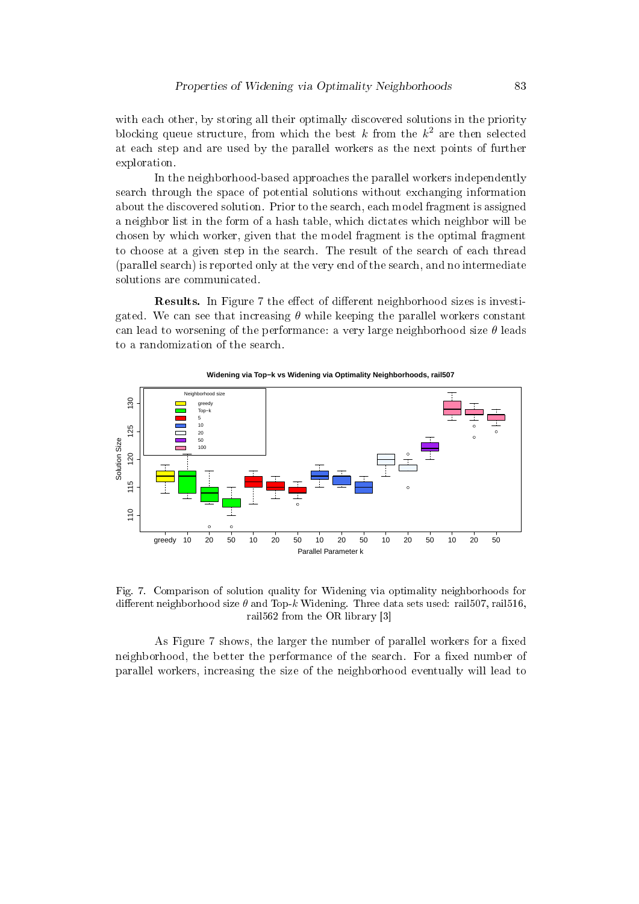with each other, by storing all their optimally discovered solutions in the priority blocking queue structure, from which the best  $k$  from the  $k^2$  are then selected at each step and are used by the parallel workers as the next points of further exploration.

In the neighborhood-based approaches the parallel workers independently search through the space of potential solutions without exchanging information about the discovered solution. Prior to the search, each model fragment is assigned a neighbor list in the form of a hash table, which dictates which neighbor will be chosen by which worker, given that the model fragment is the optimal fragment to choose at a given step in the search. The result of the search of each thread (parallel search) is reported only at the very end of the search, and no intermediate solutions are communicated.

**Results.** In Figure 7 the effect of different neighborhood sizes is investigated. We can see that increasing  $\theta$  while keeping the parallel workers constant can lead to worsening of the performance: a very large neighborhood size  $\theta$  leads to a randomization of the search.



**Widening via Top−k vs Widening via Optimality Neighborhoods, rail507**

Fig. 7. Comparison of solution quality for Widening via optimality neighborhoods for different neighborhood size  $\theta$  and Top-k Widening. Three data sets used: rail507, rail516, rail562 from the OR library [3]

As Figure 7 shows, the larger the number of parallel workers for a fixed neighborhood, the better the performance of the search. For a fixed number of parallel workers, increasing the size of the neighborhood eventually will lead to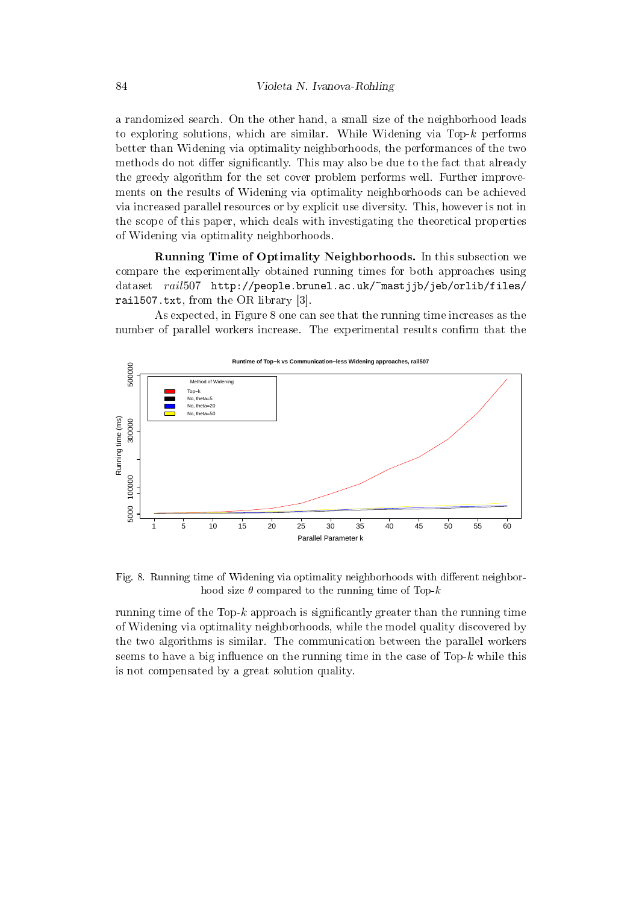a randomized search. On the other hand, a small size of the neighborhood leads to exploring solutions, which are similar. While Widening via Top- $k$  performs better than Widening via optimality neighborhoods, the performances of the two methods do not differ significantly. This may also be due to the fact that already the greedy algorithm for the set cover problem performs well. Further improvements on the results of Widening via optimality neighborhoods can be achieved via increased parallel resources or by explicit use diversity. This, however is not in the scope of this paper, which deals with investigating the theoretical properties of Widening via optimality neighborhoods.

Running Time of Optimality Neighborhoods. In this subsection we compare the experimentally obtained running times for both approaches using dataset rail507 http://people.brunel.ac.uk/~mastjjb/jeb/orlib/files/ rail507.txt, from the OR library [3].

As expected, in Figure 8 one can see that the running time increases as the number of parallel workers increase. The experimental results confirm that the



Fig. 8. Running time of Widening via optimality neighborhoods with different neighborhood size  $\theta$  compared to the running time of Top- $k$ 

running time of the Top-k approach is significantly greater than the running time of Widening via optimality neighborhoods, while the model quality discovered by the two algorithms is similar. The communication between the parallel workers seems to have a big influence on the running time in the case of  $Top-k$  while this is not compensated by a great solution quality.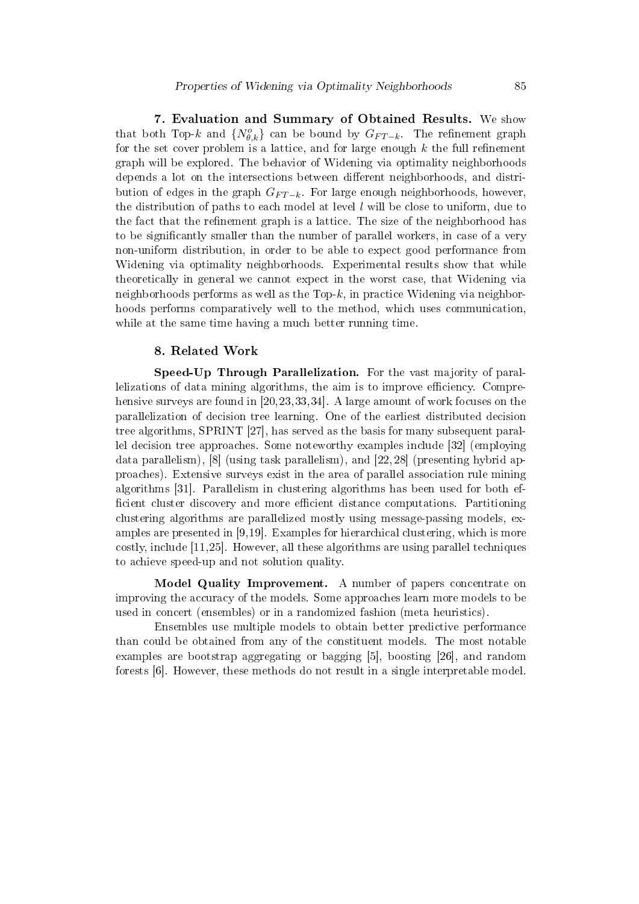7. Evaluation and Summary of Obtained Results. We show that both Top-k and  $\{N_{\theta,k}^o\}$  can be bound by  $G_{FT-k}$ . The refinement graph for the set cover problem is a lattice, and for large enough  $k$  the full refinement graph will be explored. The behavior of Widening via optimality neighborhoods depends a lot on the intersections between different neighborhoods, and distribution of edges in the graph  $G_{FT-k}$ . For large enough neighborhoods, however, the distribution of paths to each model at level  $l$  will be close to uniform, due to the fact that the refinement graph is a lattice. The size of the neighborhood has to be signicantly smaller than the number of parallel workers, in case of a very non-uniform distribution, in order to be able to expect good performance from Widening via optimality neighborhoods. Experimental results show that while theoretically in general we cannot expect in the worst case, that Widening via neighborhoods performs as well as the Top- $k$ , in practice Widening via neighborhoods performs comparatively well to the method, which uses communication, while at the same time having a much better running time.

## 8. Related Work

Speed-Up Through Parallelization. For the vast majority of parallelizations of data mining algorithms, the aim is to improve efficiency. Comprehensive surveys are found in [20,23,33,34]. A large amount of work focuses on the parallelization of decision tree learning. One of the earliest distributed decision tree algorithms, SPRINT [27], has served as the basis for many subsequent parallel decision tree approaches. Some noteworthy examples include [32] (employing data parallelism), [8] (using task parallelism), and [22, 28] (presenting hybrid approaches). Extensive surveys exist in the area of parallel association rule mining algorithms [31]. Parallelism in clustering algorithms has been used for both ef ficient cluster discovery and more efficient distance computations. Partitioning clustering algorithms are parallelized mostly using message-passing models, examples are presented in [9,19]. Examples for hierarchical clustering, which is more costly, include [11,25]. However, all these algorithms are using parallel techniques to achieve speed-up and not solution quality.

Model Quality Improvement. A number of papers concentrate on improving the accuracy of the models. Some approaches learn more models to be used in concert (ensembles) or in a randomized fashion (meta heuristics).

Ensembles use multiple models to obtain better predictive performance than could be obtained from any of the constituent models. The most notable examples are bootstrap aggregating or bagging [5], boosting [26], and random forests [6]. However, these methods do not result in a single interpretable model.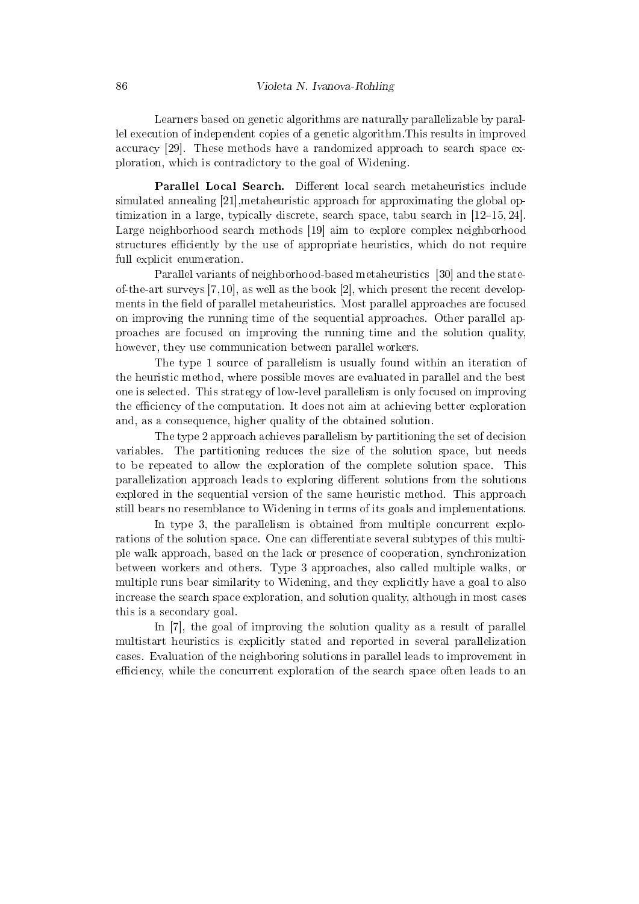Learners based on genetic algorithms are naturally parallelizable by parallel execution of independent copies of a genetic algorithm.This results in improved accuracy [29]. These methods have a randomized approach to search space exploration, which is contradictory to the goal of Widening.

Parallel Local Search. Different local search metaheuristics include simulated annealing [21],metaheuristic approach for approximating the global optimization in a large, typically discrete, search space, tabu search in  $[12-15, 24]$ . Large neighborhood search methods [19] aim to explore complex neighborhood structures efficiently by the use of appropriate heuristics, which do not require full explicit enumeration.

Parallel variants of neighborhood-based metaheuristics [30] and the stateof-the-art surveys [7,10], as well as the book [2], which present the recent developments in the field of parallel metaheuristics. Most parallel approaches are focused on improving the running time of the sequential approaches. Other parallel approaches are focused on improving the running time and the solution quality, however, they use communication between parallel workers.

The type 1 source of parallelism is usually found within an iteration of the heuristic method, where possible moves are evaluated in parallel and the best one is selected. This strategy of low-level parallelism is only focused on improving the efficiency of the computation. It does not aim at achieving better exploration and, as a consequence, higher quality of the obtained solution.

The type 2 approach achieves parallelism by partitioning the set of decision variables. The partitioning reduces the size of the solution space, but needs to be repeated to allow the exploration of the complete solution space. This parallelization approach leads to exploring different solutions from the solutions explored in the sequential version of the same heuristic method. This approach still bears no resemblance to Widening in terms of its goals and implementations.

In type 3, the parallelism is obtained from multiple concurrent explorations of the solution space. One can differentiate several subtypes of this multiple walk approach, based on the lack or presence of cooperation, synchronization between workers and others. Type 3 approaches, also called multiple walks, or multiple runs bear similarity to Widening, and they explicitly have a goal to also increase the search space exploration, and solution quality, although in most cases this is a secondary goal.

In [7], the goal of improving the solution quality as a result of parallel multistart heuristics is explicitly stated and reported in several parallelization cases. Evaluation of the neighboring solutions in parallel leads to improvement in efficiency, while the concurrent exploration of the search space often leads to an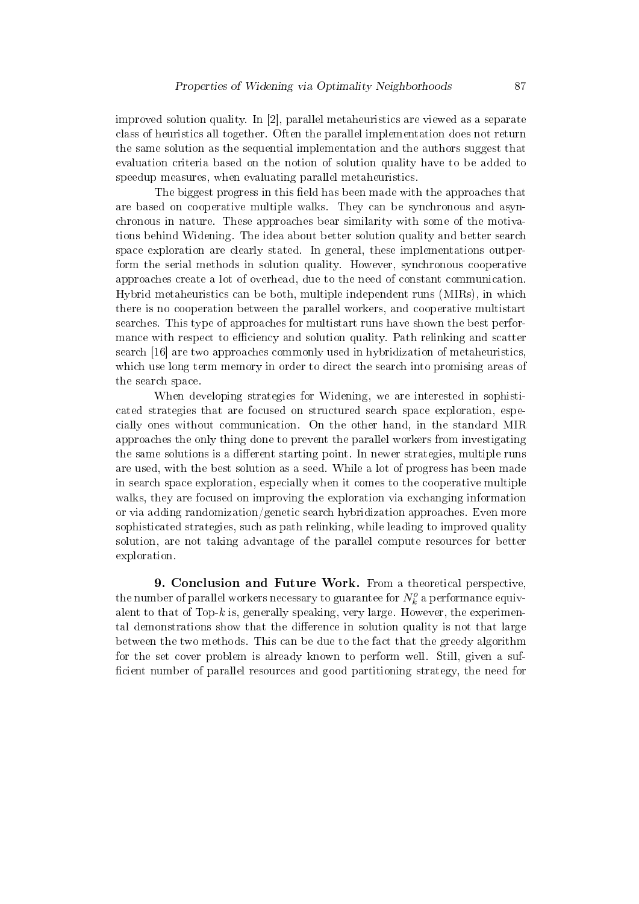improved solution quality. In [2], parallel metaheuristics are viewed as a separate class of heuristics all together. Often the parallel implementation does not return the same solution as the sequential implementation and the authors suggest that evaluation criteria based on the notion of solution quality have to be added to speedup measures, when evaluating parallel metaheuristics.

The biggest progress in this field has been made with the approaches that are based on cooperative multiple walks. They can be synchronous and asynchronous in nature. These approaches bear similarity with some of the motivations behind Widening. The idea about better solution quality and better search space exploration are clearly stated. In general, these implementations outperform the serial methods in solution quality. However, synchronous cooperative approaches create a lot of overhead, due to the need of constant communication. Hybrid metaheuristics can be both, multiple independent runs (MIRs), in which there is no cooperation between the parallel workers, and cooperative multistart searches. This type of approaches for multistart runs have shown the best performance with respect to efficiency and solution quality. Path relinking and scatter search [16] are two approaches commonly used in hybridization of metaheuristics, which use long term memory in order to direct the search into promising areas of the search space.

When developing strategies for Widening, we are interested in sophisticated strategies that are focused on structured search space exploration, especially ones without communication. On the other hand, in the standard MIR approaches the only thing done to prevent the parallel workers from investigating the same solutions is a different starting point. In newer strategies, multiple runs are used, with the best solution as a seed. While a lot of progress has been made in search space exploration, especially when it comes to the cooperative multiple walks, they are focused on improving the exploration via exchanging information or via adding randomization/genetic search hybridization approaches. Even more sophisticated strategies, such as path relinking, while leading to improved quality solution, are not taking advantage of the parallel compute resources for better exploration.

9. Conclusion and Future Work. From a theoretical perspective, the number of parallel workers necessary to guarantee for  $N_k^o$  a performance equivalent to that of Top- $k$  is, generally speaking, very large. However, the experimental demonstrations show that the difference in solution quality is not that large between the two methods. This can be due to the fact that the greedy algorithm for the set cover problem is already known to perform well. Still, given a suf ficient number of parallel resources and good partitioning strategy, the need for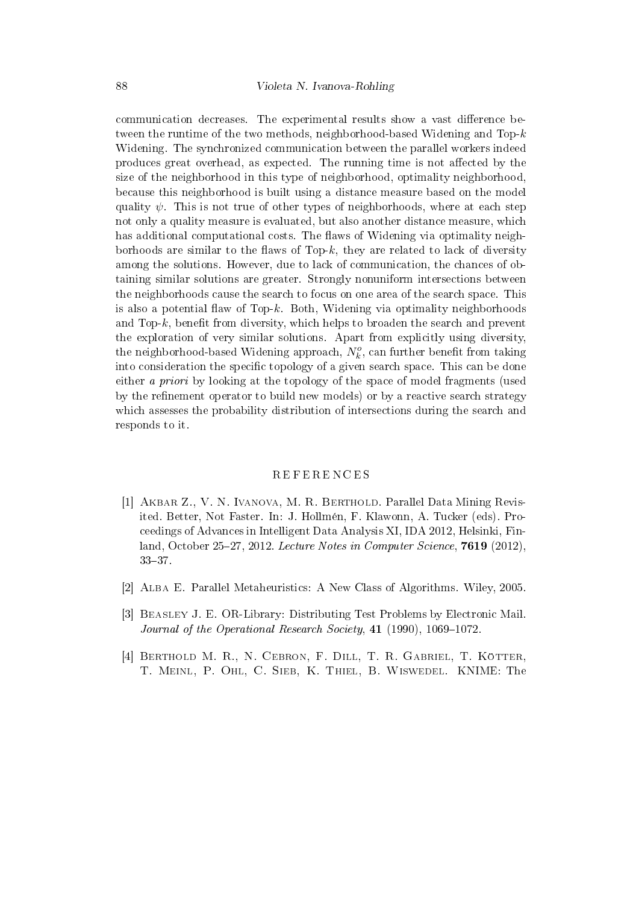communication decreases. The experimental results show a vast difference between the runtime of the two methods, neighborhood-based Widening and Top- $k$ Widening. The synchronized communication between the parallel workers indeed produces great overhead, as expected. The running time is not affected by the size of the neighborhood in this type of neighborhood, optimality neighborhood, because this neighborhood is built using a distance measure based on the model quality  $\psi$ . This is not true of other types of neighborhoods, where at each step not only a quality measure is evaluated, but also another distance measure, which has additional computational costs. The flaws of Widening via optimality neighborhoods are similar to the flaws of Top- $k$ , they are related to lack of diversity among the solutions. However, due to lack of communication, the chances of obtaining similar solutions are greater. Strongly nonuniform intersections between the neighborhoods cause the search to focus on one area of the search space. This is also a potential flaw of Top- $k$ . Both, Widening via optimality neighborhoods and Top- $k$ , benefit from diversity, which helps to broaden the search and prevent the exploration of very similar solutions. Apart from explicitly using diversity, the neighborhood-based Widening approach,  $N_k^o$ , can further benefit from taking into consideration the specific topology of a given search space. This can be done either a priori by looking at the topology of the space of model fragments (used by the refinement operator to build new models) or by a reactive search strategy which assesses the probability distribution of intersections during the search and responds to it.

### **REFERENCES**

- [1] Akbar Z., V. N. Ivanova, M. R. Berthold. Parallel Data Mining Revisited. Better, Not Faster. In: J. Hollmen, F. Klawonn, A. Tucker (eds). Proceedings of Advances in Intelligent Data Analysis XI, IDA 2012, Helsinki, Finland, October 25-27, 2012. Lecture Notes in Computer Science, 7619 (2012).  $33 - 37.$
- [2] Alba E. Parallel Metaheuristics: A New Class of Algorithms. Wiley, 2005.
- [3] Beasley J. E. OR-Library: Distributing Test Problems by Electronic Mail. Journal of the Operational Research Society,  $41$  (1990), 1069-1072.
- [4] BERTHOLD M. R., N. CEBRON, F. DILL, T. R. GABRIEL, T. KOTTER, T. Meinl, P. Ohl, C. Sieb, K. Thiel, B. Wiswedel. KNIME: The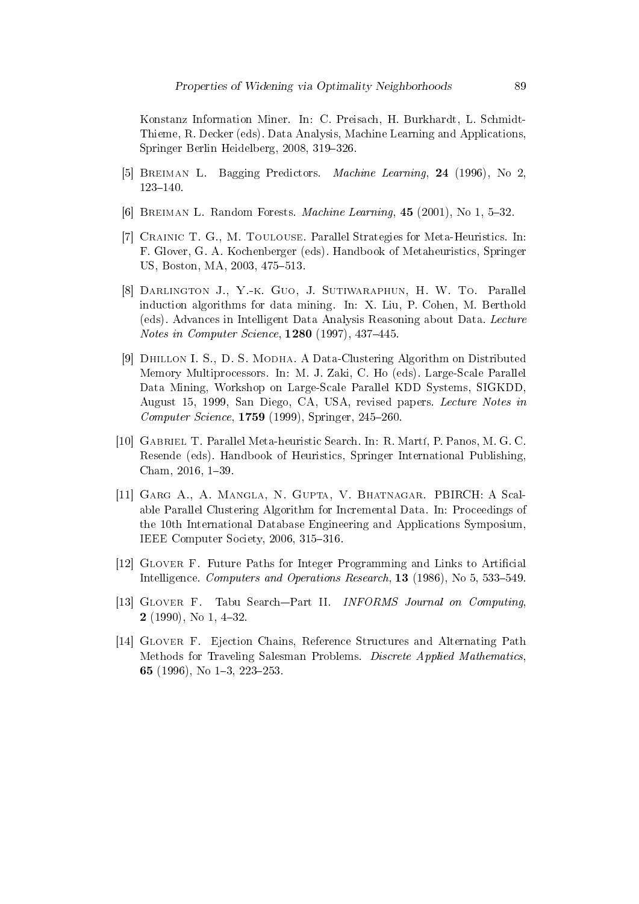Konstanz Information Miner. In: C. Preisach, H. Burkhardt, L. Schmidt-Thieme, R. Decker (eds). Data Analysis, Machine Learning and Applications, Springer Berlin Heidelberg, 2008, 319-326.

- [5] Breiman L. Bagging Predictors. Machine Learning, 24 (1996), No 2,  $123 - 140$ .
- [6] BREIMAN L. Random Forests. *Machine Learning*,  $45$  (2001), No 1, 5-32.
- [7] Crainic T. G., M. Toulouse. Parallel Strategies for Meta-Heuristics. In: F. Glover, G. A. Kochenberger (eds). Handbook of Metaheuristics, Springer US, Boston, MA, 2003, 475-513.
- [8] Darlington J., Y.-k. Guo, J. Sutiwaraphun, H. W. To. Parallel induction algorithms for data mining. In: X. Liu, P. Cohen, M. Berthold (eds). Advances in Intelligent Data Analysis Reasoning about Data. Lecture *Notes in Computer Science*,  $1280$  (1997),  $437-445$ .
- [9] Dhillon I. S., D. S. Modha. A Data-Clustering Algorithm on Distributed Memory Multiprocessors. In: M. J. Zaki, C. Ho (eds). Large-Scale Parallel Data Mining, Workshop on Large-Scale Parallel KDD Systems, SIGKDD, August 15, 1999, San Diego, CA, USA, revised papers. Lecture Notes in Computer Science,  $1759$  (1999), Springer,  $245-260$ .
- [10] Gabriel T. Parallel Meta-heuristic Search. In: R. Mart, P. Panos, M. G. C. Resende (eds). Handbook of Heuristics, Springer International Publishing, Cham, 2016, 1-39.
- [11] Garg A., A. Mangla, N. Gupta, V. Bhatnagar. PBIRCH: A Scalable Parallel Clustering Algorithm for Incremental Data. In: Proceedings of the 10th International Database Engineering and Applications Symposium, IEEE Computer Society, 2006, 315-316.
- [12] Glover F. Future Paths for Integer Programming and Links to Articial Intelligence. Computers and Operations Research,  $13$  (1986), No 5, 533–549.
- [13] GLOVER F. Tabu Search-Part II. INFORMS Journal on Computing,  $2(1990)$ , No 1, 4-32.
- [14] Glover F. Ejection Chains, Reference Structures and Alternating Path Methods for Traveling Salesman Problems. Discrete Applied Mathematics, 65 (1996), No  $1-3$ , 223 $-253$ .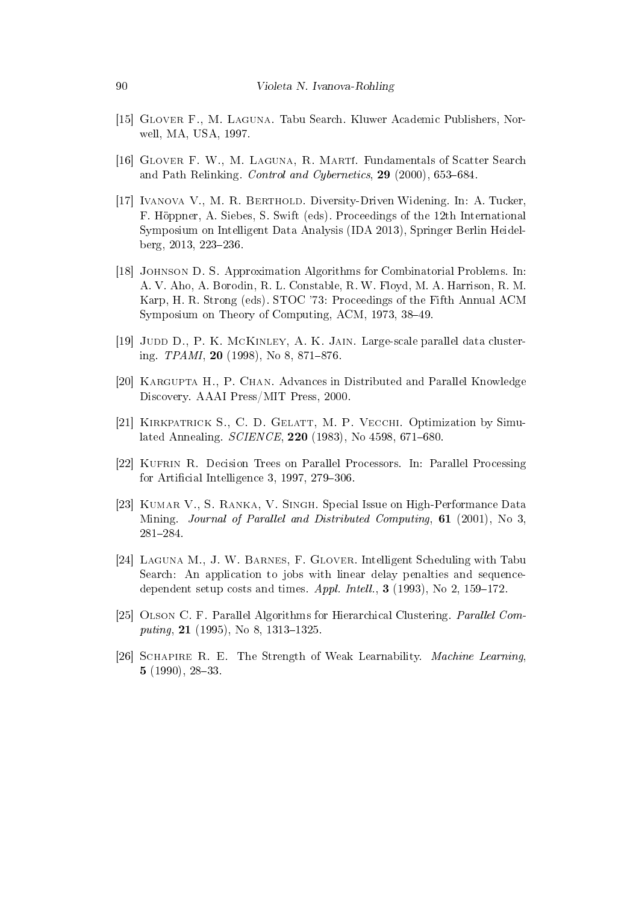- [15] Glover F., M. Laguna. Tabu Search. Kluwer Academic Publishers, Norwell, MA, USA, 1997.
- [16] Glover F. W., M. Laguna, R. Marti. Fundamentals of Scatter Search and Path Relinking. Control and Cybernetics,  $29$  (2000), 653-684.
- [17] Ivanova V., M. R. Berthold. Diversity-Driven Widening. In: A. Tucker, F. Hoppner, A. Siebes, S. Swift (eds). Proceedings of the 12th International Symposium on Intelligent Data Analysis (IDA 2013), Springer Berlin Heidelberg, 2013, 223-236.
- [18] Johnson D. S. Approximation Algorithms for Combinatorial Problems. In: A. V. Aho, A. Borodin, R. L. Constable, R. W. Floyd, M. A. Harrison, R. M. Karp, H. R. Strong (eds). STOC '73: Proceedings of the Fifth Annual ACM Symposium on Theory of Computing, ACM, 1973, 38-49.
- [19] Judd D., P. K. McKinley, A. K. Jain. Large-scale parallel data clustering.  $TPAMI$ , 20 (1998), No 8, 871–876.
- [20] Kargupta H., P. Chan. Advances in Distributed and Parallel Knowledge Discovery. AAAI Press/MIT Press, 2000.
- [21] Kirkpatrick S., C. D. Gelatt, M. P. Vecchi. Optimization by Simulated Annealing.  $SCIENCE$ , 220 (1983), No 4598, 671-680.
- [22] Kufrin R. Decision Trees on Parallel Processors. In: Parallel Processing for Artificial Intelligence 3, 1997,  $279-306$ .
- [23] Kumar V., S. Ranka, V. Singh. Special Issue on High-Performance Data Mining. Journal of Parallel and Distributed Computing, 61 (2001), No 3, 281284.
- [24] Laguna M., J. W. Barnes, F. Glover. Intelligent Scheduling with Tabu Search: An application to jobs with linear delay penalties and sequencedependent setup costs and times.  $Appl.$  Intell., 3 (1993), No 2, 159-172.
- [25] Olson C. F. Parallel Algorithms for Hierarchical Clustering. Parallel Computing,  $21$  (1995), No 8, 1313-1325.
- [26] SCHAPIRE R. E. The Strength of Weak Learnability. *Machine Learning*,  $5(1990), 28-33.$